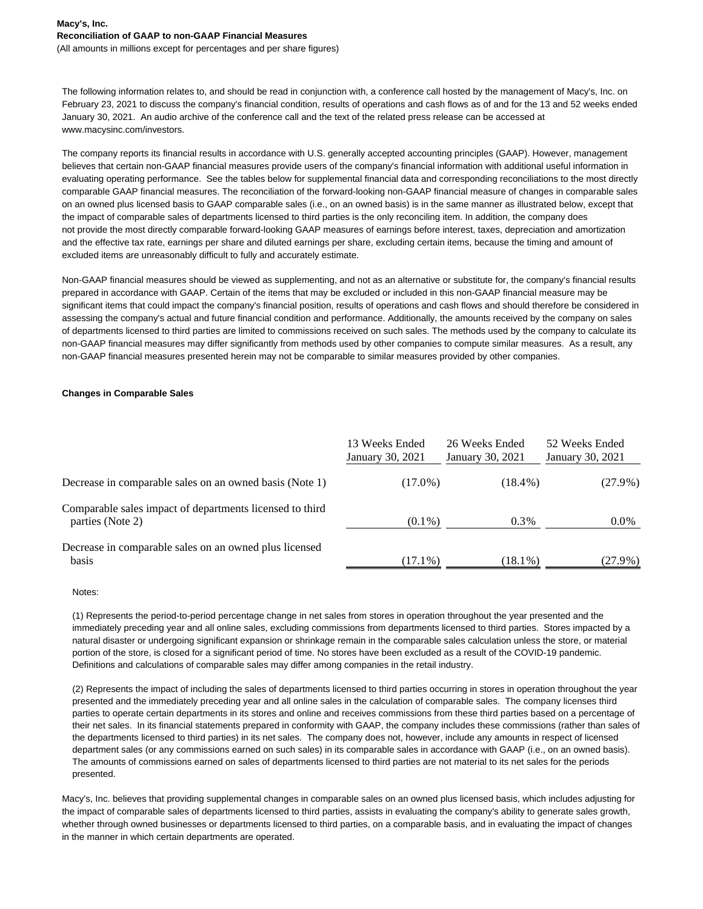(All amounts in millions except for percentages and per share figures)

The following information relates to, and should be read in conjunction with, a conference call hosted by the management of Macy's, Inc. on February 23, 2021 to discuss the company's financial condition, results of operations and cash flows as of and for the 13 and 52 weeks ended January 30, 2021. An audio archive of the conference call and the text of the related press release can be accessed at www.macysinc.com/investors.

The company reports its financial results in accordance with U.S. generally accepted accounting principles (GAAP). However, management believes that certain non-GAAP financial measures provide users of the company's financial information with additional useful information in evaluating operating performance. See the tables below for supplemental financial data and corresponding reconciliations to the most directly comparable GAAP financial measures. The reconciliation of the forward-looking non-GAAP financial measure of changes in comparable sales on an owned plus licensed basis to GAAP comparable sales (i.e., on an owned basis) is in the same manner as illustrated below, except that the impact of comparable sales of departments licensed to third parties is the only reconciling item. In addition, the company does not provide the most directly comparable forward-looking GAAP measures of earnings before interest, taxes, depreciation and amortization and the effective tax rate, earnings per share and diluted earnings per share, excluding certain items, because the timing and amount of excluded items are unreasonably difficult to fully and accurately estimate.

Non-GAAP financial measures should be viewed as supplementing, and not as an alternative or substitute for, the company's financial results prepared in accordance with GAAP. Certain of the items that may be excluded or included in this non-GAAP financial measure may be significant items that could impact the company's financial position, results of operations and cash flows and should therefore be considered in assessing the company's actual and future financial condition and performance. Additionally, the amounts received by the company on sales of departments licensed to third parties are limited to commissions received on such sales. The methods used by the company to calculate its non-GAAP financial measures may differ significantly from methods used by other companies to compute similar measures. As a result, any non-GAAP financial measures presented herein may not be comparable to similar measures provided by other companies.

#### **Changes in Comparable Sales**

|                                                                              | 13 Weeks Ended<br>January 30, 2021 | 26 Weeks Ended<br>January 30, 2021 | 52 Weeks Ended<br>January 30, 2021 |
|------------------------------------------------------------------------------|------------------------------------|------------------------------------|------------------------------------|
| Decrease in comparable sales on an owned basis (Note 1)                      | $(17.0\%)$                         | $(18.4\%)$                         | $(27.9\%)$                         |
| Comparable sales impact of departments licensed to third<br>parties (Note 2) | $(0.1\%)$                          | $0.3\%$                            | $0.0\%$                            |
| Decrease in comparable sales on an owned plus licensed<br>basis              | $(17.1\%)$                         | (18.1%)                            | $(27.9\%)$                         |

Notes:

(1) Represents the period-to-period percentage change in net sales from stores in operation throughout the year presented and the immediately preceding year and all online sales, excluding commissions from departments licensed to third parties. Stores impacted by a natural disaster or undergoing significant expansion or shrinkage remain in the comparable sales calculation unless the store, or material portion of the store, is closed for a significant period of time. No stores have been excluded as a result of the COVID-19 pandemic. Definitions and calculations of comparable sales may differ among companies in the retail industry.

(2) Represents the impact of including the sales of departments licensed to third parties occurring in stores in operation throughout the year presented and the immediately preceding year and all online sales in the calculation of comparable sales. The company licenses third parties to operate certain departments in its stores and online and receives commissions from these third parties based on a percentage of their net sales. In its financial statements prepared in conformity with GAAP, the company includes these commissions (rather than sales of the departments licensed to third parties) in its net sales. The company does not, however, include any amounts in respect of licensed department sales (or any commissions earned on such sales) in its comparable sales in accordance with GAAP (i.e., on an owned basis). The amounts of commissions earned on sales of departments licensed to third parties are not material to its net sales for the periods presented.

Macy's, Inc. believes that providing supplemental changes in comparable sales on an owned plus licensed basis, which includes adjusting for the impact of comparable sales of departments licensed to third parties, assists in evaluating the company's ability to generate sales growth, whether through owned businesses or departments licensed to third parties, on a comparable basis, and in evaluating the impact of changes in the manner in which certain departments are operated.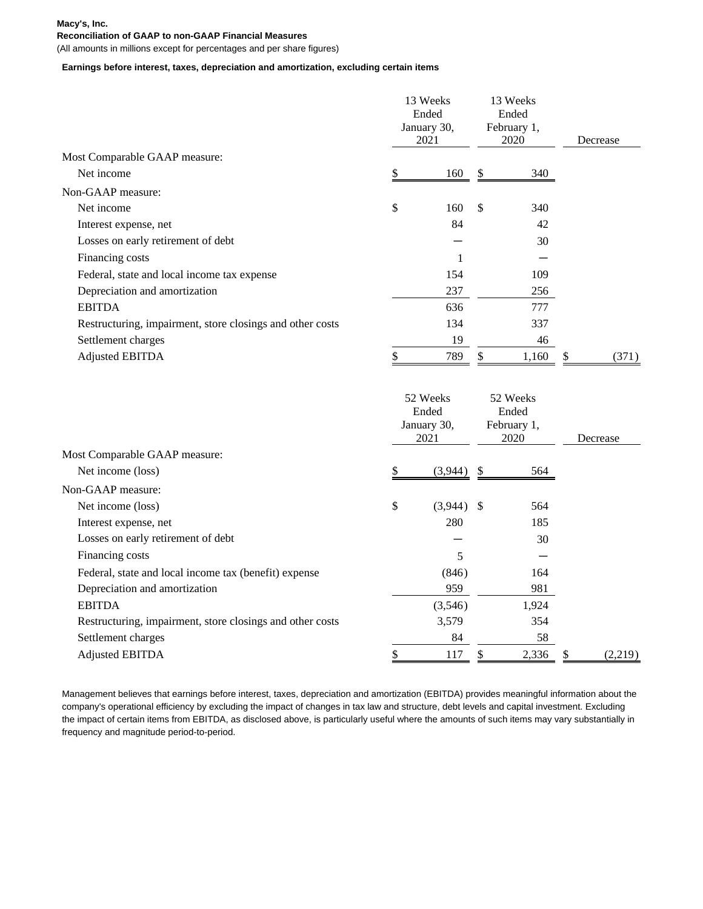(All amounts in millions except for percentages and per share figures)

# **Earnings before interest, taxes, depreciation and amortization, excluding certain items**

|                                                           | 13 Weeks<br>Ended<br>January 30, |      | 13 Weeks<br>Ended<br>February 1, |       |          |
|-----------------------------------------------------------|----------------------------------|------|----------------------------------|-------|----------|
|                                                           |                                  |      |                                  |       |          |
|                                                           |                                  | 2021 |                                  | 2020  | Decrease |
| Most Comparable GAAP measure:                             |                                  |      |                                  |       |          |
| Net income                                                |                                  | 160  | \$                               | 340   |          |
| Non-GAAP measure:                                         |                                  |      |                                  |       |          |
| Net income                                                | \$                               | 160  | $\mathcal{S}$                    | 340   |          |
| Interest expense, net                                     |                                  | 84   |                                  | 42    |          |
| Losses on early retirement of debt                        |                                  |      |                                  | 30    |          |
| Financing costs                                           |                                  |      |                                  |       |          |
| Federal, state and local income tax expense               |                                  | 154  |                                  | 109   |          |
| Depreciation and amortization                             |                                  | 237  |                                  | 256   |          |
| <b>EBITDA</b>                                             |                                  | 636  |                                  | 777   |          |
| Restructuring, impairment, store closings and other costs |                                  | 134  |                                  | 337   |          |
| Settlement charges                                        |                                  | 19   |                                  | 46    |          |
| <b>Adjusted EBITDA</b>                                    |                                  | 789  | \$                               | 1,160 | (371)    |

|                                                           | 52 Weeks<br>Ended<br>January 30,<br>2021 |    | 52 Weeks<br>Ended<br>February 1,<br>2020 |   | Decrease |  |
|-----------------------------------------------------------|------------------------------------------|----|------------------------------------------|---|----------|--|
| Most Comparable GAAP measure:                             |                                          |    |                                          |   |          |  |
| Net income (loss)                                         | (3,944)                                  | \$ | 564                                      |   |          |  |
| Non-GAAP measure:                                         |                                          |    |                                          |   |          |  |
| Net income (loss)                                         | \$<br>$(3,944)$ \$                       |    | 564                                      |   |          |  |
| Interest expense, net                                     | 280                                      |    | 185                                      |   |          |  |
| Losses on early retirement of debt                        |                                          |    | 30                                       |   |          |  |
| Financing costs                                           | 5                                        |    |                                          |   |          |  |
| Federal, state and local income tax (benefit) expense     | (846)                                    |    | 164                                      |   |          |  |
| Depreciation and amortization                             | 959                                      |    | 981                                      |   |          |  |
| <b>EBITDA</b>                                             | (3,546)                                  |    | 1,924                                    |   |          |  |
| Restructuring, impairment, store closings and other costs | 3,579                                    |    | 354                                      |   |          |  |
| Settlement charges                                        | 84                                       |    | 58                                       |   |          |  |
| <b>Adjusted EBITDA</b>                                    | 117                                      | \$ | 2,336                                    | J | (2,219)  |  |

Management believes that earnings before interest, taxes, depreciation and amortization (EBITDA) provides meaningful information about the company's operational efficiency by excluding the impact of changes in tax law and structure, debt levels and capital investment. Excluding the impact of certain items from EBITDA, as disclosed above, is particularly useful where the amounts of such items may vary substantially in frequency and magnitude period-to-period.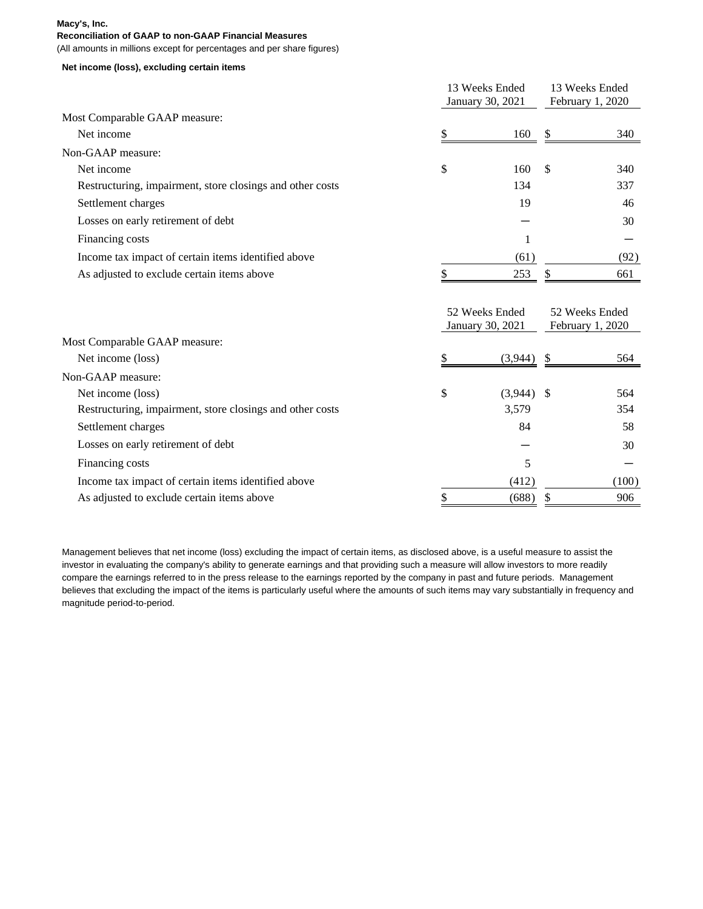(All amounts in millions except for percentages and per share figures)

## **Net income (loss), excluding certain items**

|                                                                  | 13 Weeks Ended<br>January 30, 2021 |                     | 13 Weeks Ended<br>February 1, 2020 |                      |
|------------------------------------------------------------------|------------------------------------|---------------------|------------------------------------|----------------------|
| Most Comparable GAAP measure:                                    |                                    |                     |                                    |                      |
| Net income                                                       |                                    | 160                 |                                    | 340                  |
| Non-GAAP measure:                                                |                                    |                     |                                    |                      |
| Net income                                                       | \$                                 | 160                 | -S                                 | 340                  |
| Restructuring, impairment, store closings and other costs        |                                    | 134                 |                                    | 337                  |
| Settlement charges                                               |                                    | 19                  |                                    | 46                   |
| Losses on early retirement of debt                               |                                    |                     |                                    | 30                   |
| Financing costs                                                  |                                    |                     |                                    |                      |
| Income tax impact of certain items identified above              |                                    | (61)                |                                    | (92)                 |
| As adjusted to exclude certain items above                       |                                    | 253                 |                                    | 661                  |
|                                                                  | 52 Weeks Ended<br>January 30, 2021 |                     | 52 Weeks Ended<br>February 1, 2020 |                      |
| Most Comparable GAAP measure:                                    |                                    |                     |                                    |                      |
| $\mathbf{M}$ $\mathbf{M}$ $\mathbf{M}$ $\mathbf{M}$ $\mathbf{M}$ | $\triangle$                        | $(0.011)$ $(0.011)$ |                                    | $\sim$ $\sim$ $\sim$ |

| Net income (loss)                                         | (3.944)            | 564   |
|-----------------------------------------------------------|--------------------|-------|
| Non-GAAP measure:                                         |                    |       |
| Net income (loss)                                         | \$<br>$(3,944)$ \$ | 564   |
| Restructuring, impairment, store closings and other costs | 3,579              | 354   |
| Settlement charges                                        | 84                 | 58    |
| Losses on early retirement of debt                        |                    | 30    |
| Financing costs                                           |                    |       |
| Income tax impact of certain items identified above       | (412)              | (100) |
| As adjusted to exclude certain items above                | (688)              | 906   |

Management believes that net income (loss) excluding the impact of certain items, as disclosed above, is a useful measure to assist the investor in evaluating the company's ability to generate earnings and that providing such a measure will allow investors to more readily compare the earnings referred to in the press release to the earnings reported by the company in past and future periods. Management believes that excluding the impact of the items is particularly useful where the amounts of such items may vary substantially in frequency and magnitude period-to-period.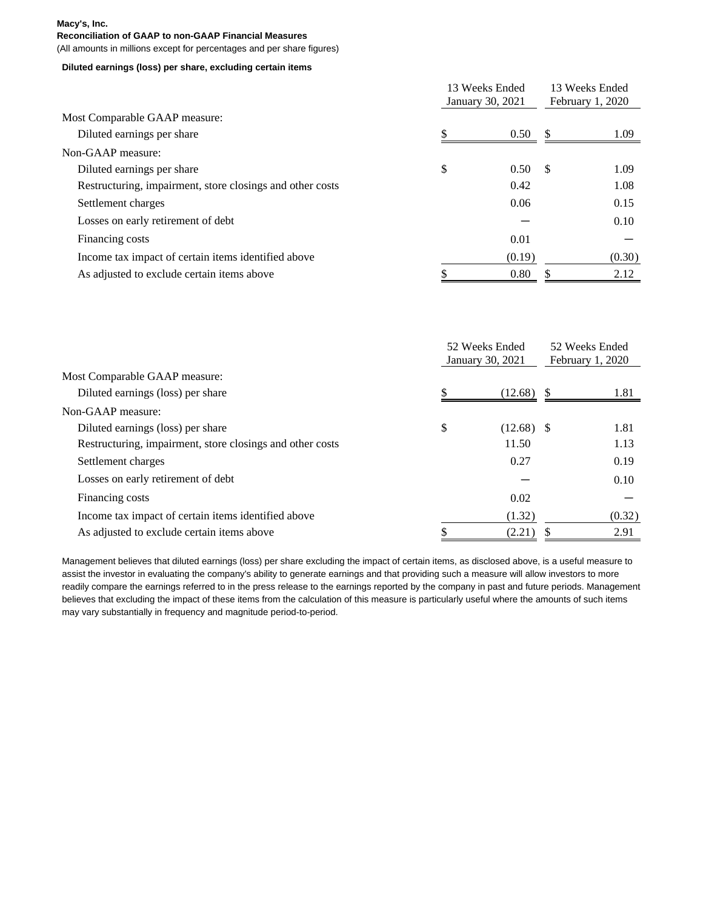#### **Macy's, Inc.**

### **Reconciliation of GAAP to non-GAAP Financial Measures**

(All amounts in millions except for percentages and per share figures)

## **Diluted earnings (loss) per share, excluding certain items**

|                                                           | 13 Weeks Ended   |        | 13 Weeks Ended   |        |
|-----------------------------------------------------------|------------------|--------|------------------|--------|
|                                                           | January 30, 2021 |        | February 1, 2020 |        |
| Most Comparable GAAP measure:                             |                  |        |                  |        |
| Diluted earnings per share                                |                  | 0.50   |                  | 1.09   |
| Non-GAAP measure:                                         |                  |        |                  |        |
| Diluted earnings per share                                | \$               | 0.50   | -S               | 1.09   |
| Restructuring, impairment, store closings and other costs |                  | 0.42   |                  | 1.08   |
| Settlement charges                                        |                  | 0.06   |                  | 0.15   |
| Losses on early retirement of debt                        |                  |        |                  | 0.10   |
| Financing costs                                           |                  | 0.01   |                  |        |
| Income tax impact of certain items identified above       |                  | (0.19) |                  | (0.30) |
| As adjusted to exclude certain items above                |                  | 0.80   |                  | 2.12   |

|                                                           | 52 Weeks Ended<br>January 30, 2021 |              | 52 Weeks Ended<br>February 1, 2020 |        |
|-----------------------------------------------------------|------------------------------------|--------------|------------------------------------|--------|
| Most Comparable GAAP measure:                             |                                    |              |                                    |        |
| Diluted earnings (loss) per share                         |                                    | (12.68)      |                                    | 1.81   |
| Non-GAAP measure:                                         |                                    |              |                                    |        |
| Diluted earnings (loss) per share                         | \$                                 | $(12.68)$ \$ |                                    | 1.81   |
| Restructuring, impairment, store closings and other costs |                                    | 11.50        |                                    | 1.13   |
| Settlement charges                                        |                                    | 0.27         |                                    | 0.19   |
| Losses on early retirement of debt                        |                                    |              |                                    | 0.10   |
| Financing costs                                           |                                    | 0.02         |                                    |        |
| Income tax impact of certain items identified above       |                                    | (1.32)       |                                    | (0.32) |
| As adjusted to exclude certain items above                |                                    | (2.21)       |                                    | 2.91   |

Management believes that diluted earnings (loss) per share excluding the impact of certain items, as disclosed above, is a useful measure to assist the investor in evaluating the company's ability to generate earnings and that providing such a measure will allow investors to more readily compare the earnings referred to in the press release to the earnings reported by the company in past and future periods. Management believes that excluding the impact of these items from the calculation of this measure is particularly useful where the amounts of such items may vary substantially in frequency and magnitude period-to-period.